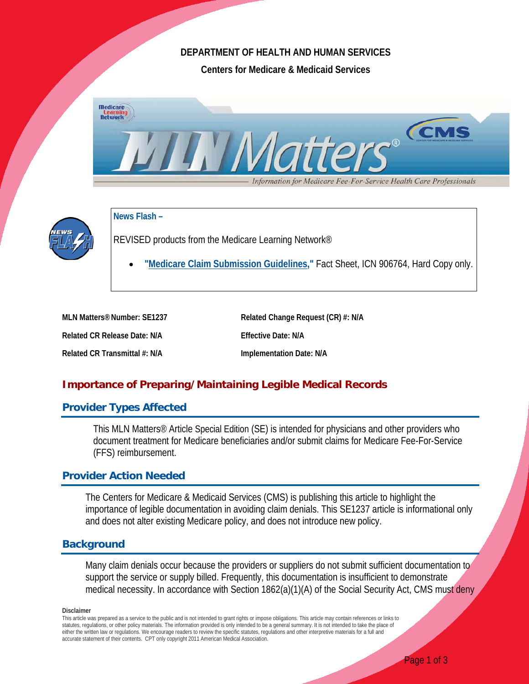# **DEPARTMENT OF HEALTH AND HUMAN SERVICES**

**Centers for Medicare & Medicaid Services**





**News Flash –**

REVISED products from the Medicare Learning Network®

• **["Medicare Claim Submission Guidelines,](http://www.cms.gov/Outreach-and-Education/Medicare-Learning-Network-MLN/MLNProducts/Downloads/MedicareClaimSubmissionGuidelines-ICN906764.pdf)"** Fact Sheet, ICN 906764, Hard Copy only.

**MLN Matters®Number: SE1237 Related Change Request (CR) #: N/A Related CR Release Date: N/A Effective Date: N/A Related CR Transmittal #: N/A Implementation Date: N/A**

# **Importance of Preparing/Maintaining Legible Medical Records**

# **Provider Types Affected**

This MLN Matters® Article Special Edition (SE) is intended for physicians and other providers who document treatment for Medicare beneficiaries and/or submit claims for Medicare Fee-For-Service (FFS) reimbursement.

# **Provider Action Needed**

The Centers for Medicare & Medicaid Services (CMS) is publishing this article to highlight the importance of legible documentation in avoiding claim denials. This SE1237 article is informational only and does not alter existing Medicare policy, and does not introduce new policy.

# **Background**

Many claim denials occur because the providers or suppliers do not submit sufficient documentation to support the service or supply billed. Frequently, this documentation is insufficient to demonstrate medical necessity. In accordance with Section 1862(a)(1)(A) of the Social Security Act, CMS must deny

**Disclaimer**

This article was prepared as a service to the public and is not intended to grant rights or impose obligations. This article may contain references or links to statutes, regulations, or other policy materials. The information provided is only intended to be a general summary. It is not intended to take the place of either the written law or regulations. We encourage readers to review the specific statutes, regulations and other interpretive materials for a full and accurate statement of their contents. CPT only copyright 2011 American Medical Association.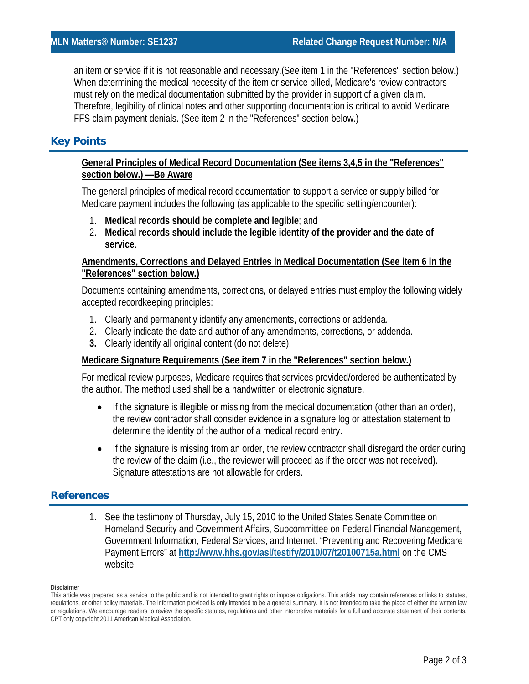an item or service if it is not reasonable and necessary.(See item 1 in the "References" section below.) When determining the medical necessity of the item or service billed, Medicare's review contractors must rely on the medical documentation submitted by the provider in support of a given claim. Therefore, legibility of clinical notes and other supporting documentation is critical to avoid Medicare FFS claim payment denials. (See item 2 in the "References" section below.)

# **Key Points**

### **General Principles of Medical Record Documentation (See items 3,4,5 in the "References" section below.) —Be Aware**

The general principles of medical record documentation to support a service or supply billed for Medicare payment includes the following (as applicable to the specific setting/encounter):

- 1. **Medical records should be complete and legible**; and
- 2. **Medical records should include the legible identity of the provider and the date of service**.

### **Amendments, Corrections and Delayed Entries in Medical Documentation (See item 6 in the "References" section below.)**

Documents containing amendments, corrections, or delayed entries must employ the following widely accepted recordkeeping principles:

- 1. Clearly and permanently identify any amendments, corrections or addenda.
- 2. Clearly indicate the date and author of any amendments, corrections, or addenda.
- **3.** Clearly identify all original content (do not delete).

#### **Medicare Signature Requirements (See item 7 in the "References" section below.)**

For medical review purposes, Medicare requires that services provided/ordered be authenticated by the author. The method used shall be a handwritten or electronic signature.

- If the signature is illegible or missing from the medical documentation (other than an order), the review contractor shall consider evidence in a signature log or attestation statement to determine the identity of the author of a medical record entry.
- If the signature is missing from an order, the review contractor shall disregard the order during the review of the claim (i.e., the reviewer will proceed as if the order was not received). Signature attestations are not allowable for orders.

# **References**

1. See the testimony of Thursday, July 15, 2010 to the United States Senate Committee on Homeland Security and Government Affairs, Subcommittee on Federal Financial Management, Government Information, Federal Services, and Internet. "Preventing and Recovering Medicare Payment Errors" at **<http://www.hhs.gov/asl/testify/2010/07/t20100715a.html>** on the CMS website.

#### **Disclaimer**

This article was prepared as a service to the public and is not intended to grant rights or impose obligations. This article may contain references or links to statutes, regulations, or other policy materials. The information provided is only intended to be a general summary. It is not intended to take the place of either the written law or regulations. We encourage readers to review the specific statutes, regulations and other interpretive materials for a full and accurate statement of their contents. CPT only copyright 2011 American Medical Association.